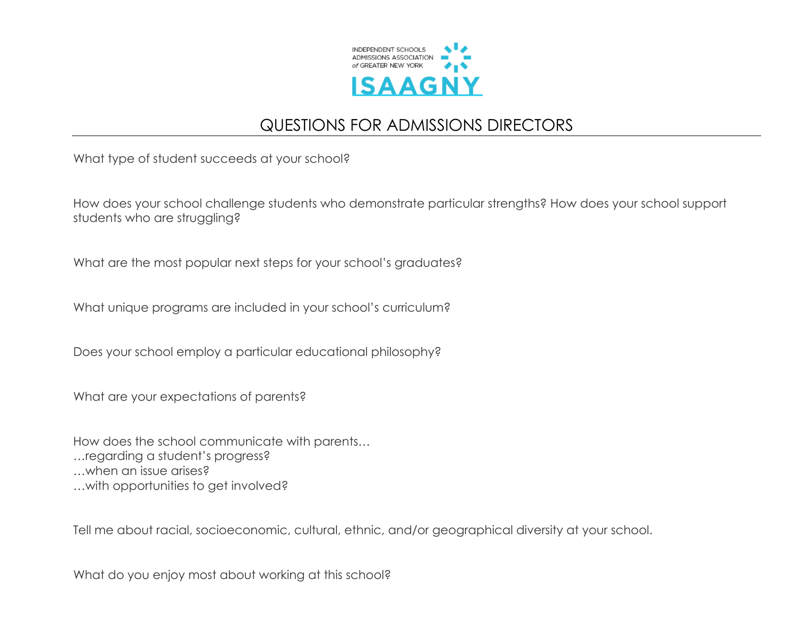

## QUESTIONS FOR ADMISSIONS DIRECTORS

What type of student succeeds at your school?

How does your school challenge students who demonstrate particular strengths? How does your school support students who are struggling?

What are the most popular next steps for your school's graduates?

What unique programs are included in your school's curriculum?

Does your school employ a particular educational philosophy?

What are your expectations of parents?

How does the school communicate with parents… …regarding a student's progress? …when an issue arises? …with opportunities to get involved?

Tell me about racial, socioeconomic, cultural, ethnic, and/or geographical diversity at your school.

What do you enjoy most about working at this school?